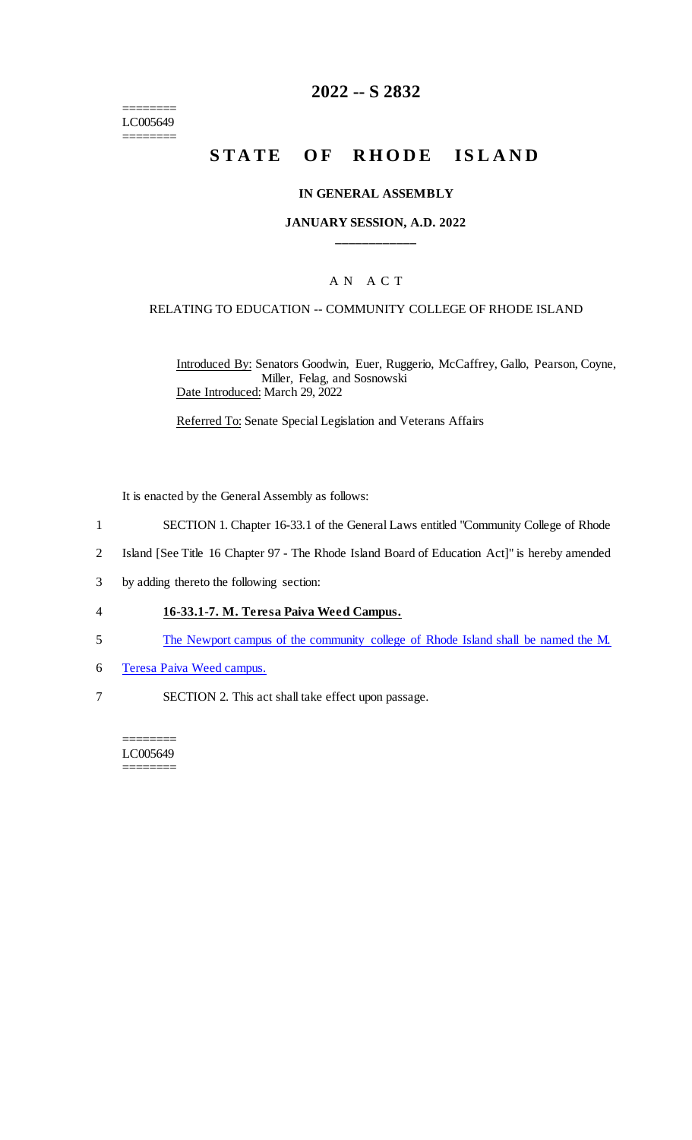======== LC005649 ========

## **2022 -- S 2832**

# **STATE OF RHODE ISLAND**

#### **IN GENERAL ASSEMBLY**

### **JANUARY SESSION, A.D. 2022 \_\_\_\_\_\_\_\_\_\_\_\_**

### A N A C T

#### RELATING TO EDUCATION -- COMMUNITY COLLEGE OF RHODE ISLAND

Introduced By: Senators Goodwin, Euer, Ruggerio, McCaffrey, Gallo, Pearson, Coyne, Miller, Felag, and Sosnowski Date Introduced: March 29, 2022

Referred To: Senate Special Legislation and Veterans Affairs

It is enacted by the General Assembly as follows:

- 1 SECTION 1. Chapter 16-33.1 of the General Laws entitled "Community College of Rhode
- 2 Island [See Title 16 Chapter 97 The Rhode Island Board of Education Act]" is hereby amended
- 3 by adding thereto the following section:

### 4 **16-33.1-7. M. Teresa Paiva Weed Campus.**

- 5 The Newport campus of the community college of Rhode Island shall be named the M.
- 6 Teresa Paiva Weed campus.
- 7 SECTION 2. This act shall take effect upon passage.

======== LC005649 ========